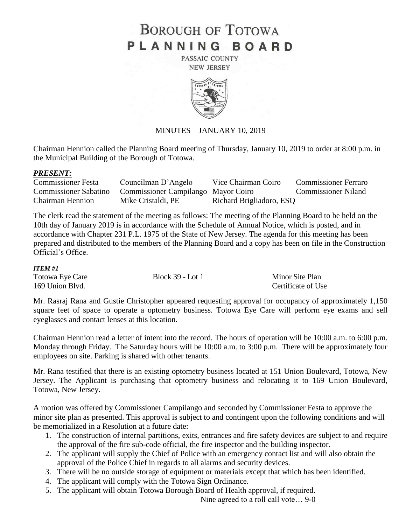# **BOROUGH OF TOTOWA** PLANNING BOARD

PASSAIC COUNTY **NEW JERSEY** 



## MINUTES – JANUARY 10, 2019

Chairman Hennion called the Planning Board meeting of Thursday, January 10, 2019 to order at 8:00 p.m. in the Municipal Building of the Borough of Totowa.

#### *PRESENT:*

| <b>Commissioner Festa</b>    | Councilman D'Angelo                 | Vice Chairman Coiro      | <b>Commissioner Ferraro</b> |
|------------------------------|-------------------------------------|--------------------------|-----------------------------|
| <b>Commissioner Sabatino</b> | Commissioner Campilango Mayor Coiro |                          | <b>Commissioner Niland</b>  |
| <b>Chairman Hennion</b>      | Mike Cristaldi, PE                  | Richard Brigliadoro, ESQ |                             |

The clerk read the statement of the meeting as follows: The meeting of the Planning Board to be held on the 10th day of January 2019 is in accordance with the Schedule of Annual Notice, which is posted, and in accordance with Chapter 231 P.L. 1975 of the State of New Jersey. The agenda for this meeting has been prepared and distributed to the members of the Planning Board and a copy has been on file in the Construction Official's Office.

#### *ITEM #1*

| Totowa Eye Care | <b>Block 39 - Lot 1</b> | Minor Site Plan    |
|-----------------|-------------------------|--------------------|
| 169 Union Blvd. |                         | Certificate of Use |

Mr. Rasraj Rana and Gustie Christopher appeared requesting approval for occupancy of approximately 1,150 square feet of space to operate a optometry business. Totowa Eye Care will perform eye exams and sell eyeglasses and contact lenses at this location.

Chairman Hennion read a letter of intent into the record. The hours of operation will be 10:00 a.m. to 6:00 p.m. Monday through Friday. The Saturday hours will be 10:00 a.m. to 3:00 p.m. There will be approximately four employees on site. Parking is shared with other tenants.

Mr. Rana testified that there is an existing optometry business located at 151 Union Boulevard, Totowa, New Jersey. The Applicant is purchasing that optometry business and relocating it to 169 Union Boulevard, Totowa, New Jersey.

A motion was offered by Commissioner Campilango and seconded by Commissioner Festa to approve the minor site plan as presented. This approval is subject to and contingent upon the following conditions and will be memorialized in a Resolution at a future date:

- 1. The construction of internal partitions, exits, entrances and fire safety devices are subject to and require the approval of the fire sub-code official, the fire inspector and the building inspector.
- 2. The applicant will supply the Chief of Police with an emergency contact list and will also obtain the approval of the Police Chief in regards to all alarms and security devices.
- 3. There will be no outside storage of equipment or materials except that which has been identified.
- 4. The applicant will comply with the Totowa Sign Ordinance.
- 5. The applicant will obtain Totowa Borough Board of Health approval, if required.

Nine agreed to a roll call vote… 9-0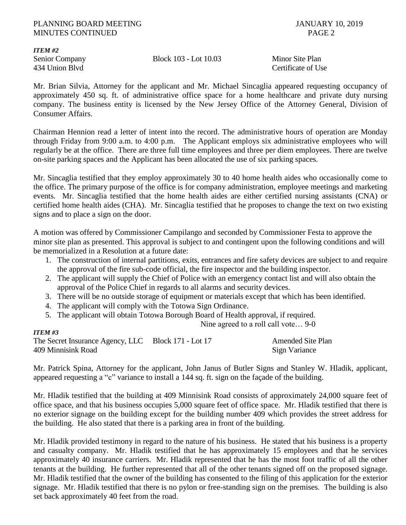#### PLANNING BOARD MEETING **FULL AND SECURE 2019** JANUARY 10, 2019 MINUTES CONTINUED PAGE 2

*ITEM #2*

Senior Company Block 103 - Lot 10.03 Minor Site Plan

434 Union Blvd Certificate of Use

Mr. Brian Silvia, Attorney for the applicant and Mr. Michael Sincaglia appeared requesting occupancy of approximately 450 sq. ft. of administrative office space for a home healthcare and private duty nursing company. The business entity is licensed by the New Jersey Office of the Attorney General, Division of Consumer Affairs.

Chairman Hennion read a letter of intent into the record. The administrative hours of operation are Monday through Friday from 9:00 a.m. to 4:00 p.m. The Applicant employs six administrative employees who will regularly be at the office. There are three full time employees and three per diem employees. There are twelve on-site parking spaces and the Applicant has been allocated the use of six parking spaces.

Mr. Sincaglia testified that they employ approximately 30 to 40 home health aides who occasionally come to the office. The primary purpose of the office is for company administration, employee meetings and marketing events. Mr. Sincaglia testified that the home health aides are either certified nursing assistants (CNA) or certified home health aides (CHA). Mr. Sincaglia testified that he proposes to change the text on two existing signs and to place a sign on the door.

A motion was offered by Commissioner Campilango and seconded by Commissioner Festa to approve the minor site plan as presented. This approval is subject to and contingent upon the following conditions and will be memorialized in a Resolution at a future date:

- 1. The construction of internal partitions, exits, entrances and fire safety devices are subject to and require the approval of the fire sub-code official, the fire inspector and the building inspector.
- 2. The applicant will supply the Chief of Police with an emergency contact list and will also obtain the approval of the Police Chief in regards to all alarms and security devices.
- 3. There will be no outside storage of equipment or materials except that which has been identified.
- 4. The applicant will comply with the Totowa Sign Ordinance.
- 5. The applicant will obtain Totowa Borough Board of Health approval, if required.

Nine agreed to a roll call vote… 9-0

#### *ITEM #3*

The Secret Insurance Agency, LLC Block 171 - Lot 17 Amended Site Plan 409 Minnisink Road Sign Variance

Mr. Patrick Spina, Attorney for the applicant, John Janus of Butler Signs and Stanley W. Hladik, applicant, appeared requesting a "c" variance to install a 144 sq. ft. sign on the façade of the building.

Mr. Hladik testified that the building at 409 Minnisink Road consists of approximately 24,000 square feet of office space, and that his business occupies 5,000 square feet of office space. Mr. Hladik testified that there is no exterior signage on the building except for the building number 409 which provides the street address for the building. He also stated that there is a parking area in front of the building.

Mr. Hladik provided testimony in regard to the nature of his business. He stated that his business is a property and casualty company. Mr. Hladik testified that he has approximately 15 employees and that he services approximately 40 insurance carriers. Mr. Hladik represented that he has the most foot traffic of all the other tenants at the building. He further represented that all of the other tenants signed off on the proposed signage. Mr. Hladik testified that the owner of the building has consented to the filing of this application for the exterior signage. Mr. Hladik testified that there is no pylon or free-standing sign on the premises. The building is also set back approximately 40 feet from the road.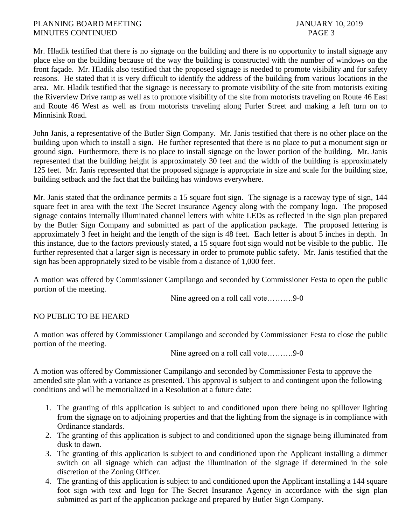Mr. Hladik testified that there is no signage on the building and there is no opportunity to install signage any place else on the building because of the way the building is constructed with the number of windows on the front façade. Mr. Hladik also testified that the proposed signage is needed to promote visibility and for safety reasons. He stated that it is very difficult to identify the address of the building from various locations in the area. Mr. Hladik testified that the signage is necessary to promote visibility of the site from motorists exiting the Riverview Drive ramp as well as to promote visibility of the site from motorists traveling on Route 46 East and Route 46 West as well as from motorists traveling along Furler Street and making a left turn on to Minnisink Road.

John Janis, a representative of the Butler Sign Company. Mr. Janis testified that there is no other place on the building upon which to install a sign. He further represented that there is no place to put a monument sign or ground sign. Furthermore, there is no place to install signage on the lower portion of the building. Mr. Janis represented that the building height is approximately 30 feet and the width of the building is approximately 125 feet. Mr. Janis represented that the proposed signage is appropriate in size and scale for the building size, building setback and the fact that the building has windows everywhere.

Mr. Janis stated that the ordinance permits a 15 square foot sign. The signage is a raceway type of sign, 144 square feet in area with the text The Secret Insurance Agency along with the company logo. The proposed signage contains internally illuminated channel letters with white LEDs as reflected in the sign plan prepared by the Butler Sign Company and submitted as part of the application package. The proposed lettering is approximately 3 feet in height and the length of the sign is 48 feet. Each letter is about 5 inches in depth. In this instance, due to the factors previously stated, a 15 square foot sign would not be visible to the public. He further represented that a larger sign is necessary in order to promote public safety. Mr. Janis testified that the sign has been appropriately sized to be visible from a distance of 1,000 feet.

A motion was offered by Commissioner Campilango and seconded by Commissioner Festa to open the public portion of the meeting.

Nine agreed on a roll call vote……….9-0

## NO PUBLIC TO BE HEARD

A motion was offered by Commissioner Campilango and seconded by Commissioner Festa to close the public portion of the meeting.

Nine agreed on a roll call vote……….9-0

A motion was offered by Commissioner Campilango and seconded by Commissioner Festa to approve the amended site plan with a variance as presented. This approval is subject to and contingent upon the following conditions and will be memorialized in a Resolution at a future date:

- 1. The granting of this application is subject to and conditioned upon there being no spillover lighting from the signage on to adjoining properties and that the lighting from the signage is in compliance with Ordinance standards.
- 2. The granting of this application is subject to and conditioned upon the signage being illuminated from dusk to dawn.
- 3. The granting of this application is subject to and conditioned upon the Applicant installing a dimmer switch on all signage which can adjust the illumination of the signage if determined in the sole discretion of the Zoning Officer.
- 4. The granting of this application is subject to and conditioned upon the Applicant installing a 144 square foot sign with text and logo for The Secret Insurance Agency in accordance with the sign plan submitted as part of the application package and prepared by Butler Sign Company.